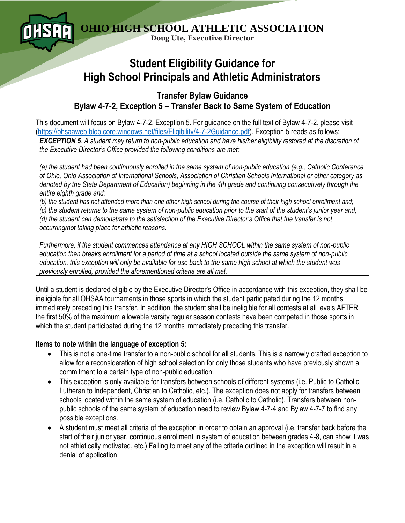

## **Student Eligibility Guidance for High School Principals and Athletic Administrators**

**Transfer Bylaw Guidance Bylaw 4-7-2, Exception 5 – Transfer Back to Same System of Education**

This document will focus on Bylaw 4-7-2, Exception 5. For guidance on the full text of Bylaw 4-7-2, please visit [\(https://ohsaaweb.blob.core.windows.net/files/Eligibility/4-7-2Guidance.pdf\)](https://ohsaaweb.blob.core.windows.net/files/Eligibility/4-7-2Guidance.pdf). Exception 5 reads as follows:

*EXCEPTION 5: A student may return to non-public education and have his/her eligibility restored at the discretion of the Executive Director's Office provided the following conditions are met:*

*(a) the student had been continuously enrolled in the same system of non-public education (e.g., Catholic Conference of Ohio, Ohio Association of International Schools, Association of Christian Schools International or other category as denoted by the State Department of Education) beginning in the 4th grade and continuing consecutively through the entire eighth grade and;*

*(b) the student has not attended more than one other high school during the course of their high school enrollment and; (c) the student returns to the same system of non-public education prior to the start of the student's junior year and; (d) the student can demonstrate to the satisfaction of the Executive Director's Office that the transfer is not occurring/not taking place for athletic reasons.*

*Furthermore, if the student commences attendance at any HIGH SCHOOL within the same system of non-public education then breaks enrollment for a period of time at a school located outside the same system of non-public education, this exception will only be available for use back to the same high school at which the student was previously enrolled, provided the aforementioned criteria are all met.*

Until a student is declared eligible by the Executive Director's Office in accordance with this exception, they shall be ineligible for all OHSAA tournaments in those sports in which the student participated during the 12 months immediately preceding this transfer. In addition, the student shall be ineligible for all contests at all levels AFTER the first 50% of the maximum allowable varsity regular season contests have been competed in those sports in which the student participated during the 12 months immediately preceding this transfer.

## **Items to note within the language of exception 5:**

- This is not a one-time transfer to a non-public school for all students. This is a narrowly crafted exception to allow for a reconsideration of high school selection for only those students who have previously shown a commitment to a certain type of non-public education.
- This exception is only available for transfers between schools of different systems (i.e. Public to Catholic, Lutheran to Independent, Christian to Catholic, etc.). The exception does not apply for transfers between schools located within the same system of education (i.e. Catholic to Catholic). Transfers between nonpublic schools of the same system of education need to review Bylaw 4-7-4 and Bylaw 4-7-7 to find any possible exceptions.
- A student must meet all criteria of the exception in order to obtain an approval (i.e. transfer back before the start of their junior year, continuous enrollment in system of education between grades 4-8, can show it was not athletically motivated, etc.) Failing to meet any of the criteria outlined in the exception will result in a denial of application.